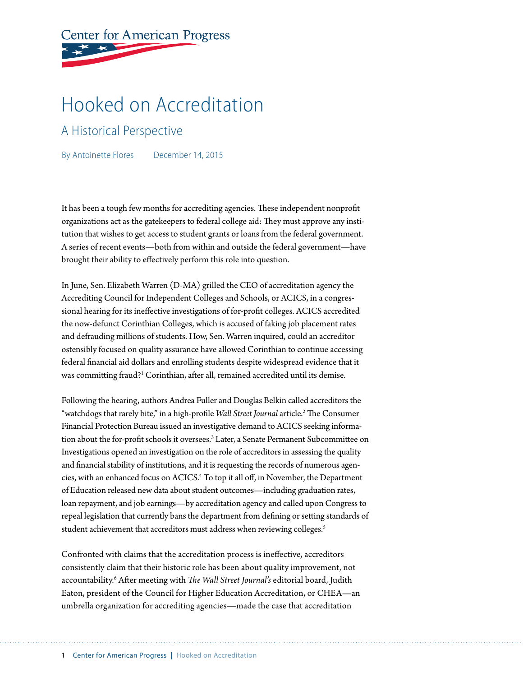# **Center for American Progress**

## Hooked on Accreditation

## A Historical Perspective

By Antoinette Flores December 14, 2015

It has been a tough few months for accrediting agencies. These independent nonprofit organizations act as the gatekeepers to federal college aid: They must approve any institution that wishes to get access to student grants or loans from the federal government. A series of recent events—both from within and outside the federal government—have brought their ability to effectively perform this role into question.

In June, Sen. Elizabeth Warren (D-MA) grilled the CEO of accreditation agency the Accrediting Council for Independent Colleges and Schools, or ACICS, in a congressional hearing for its ineffective investigations of for-profit colleges. ACICS accredited the now-defunct Corinthian Colleges, which is accused of faking job placement rates and defrauding millions of students. How, Sen. Warren inquired, could an accreditor ostensibly focused on quality assurance have allowed Corinthian to continue accessing federal financial aid dollars and enrolling students despite widespread evidence that it was committing fraud?<sup>1</sup> Corinthian, after all, remained accredited until its demise.

Following the hearing, authors Andrea Fuller and Douglas Belkin called accreditors the "watchdogs that rarely bite," in a high-profile Wall Street Journal article.<sup>2</sup> The Consumer Financial Protection Bureau issued an investigative demand to ACICS seeking information about the for-profit schools it oversees.<sup>3</sup> Later, a Senate Permanent Subcommittee on Investigations opened an investigation on the role of accreditors in assessing the quality and financial stability of institutions, and it is requesting the records of numerous agencies, with an enhanced focus on ACICS.4 To top it all off, in November, the Department of Education released new data about student outcomes—including graduation rates, loan repayment, and job earnings—by accreditation agency and called upon Congress to repeal legislation that currently bans the department from defining or setting standards of student achievement that accreditors must address when reviewing colleges.<sup>5</sup>

Confronted with claims that the accreditation process is ineffective, accreditors consistently claim that their historic role has been about quality improvement, not accountability.6 After meeting with *The Wall Street Journal's* editorial board, Judith Eaton, president of the Council for Higher Education Accreditation, or CHEA—an umbrella organization for accrediting agencies—made the case that accreditation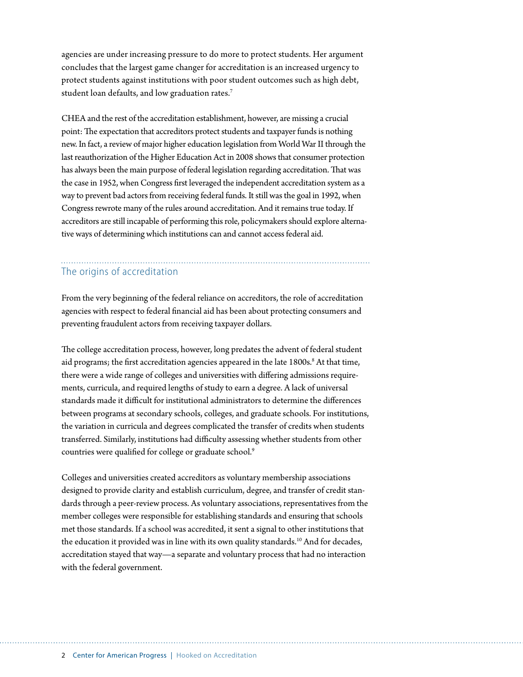agencies are under increasing pressure to do more to protect students. Her argument concludes that the largest game changer for accreditation is an increased urgency to protect students against institutions with poor student outcomes such as high debt, student loan defaults, and low graduation rates.<sup>7</sup>

CHEA and the rest of the accreditation establishment, however, are missing a crucial point: The expectation that accreditors protect students and taxpayer funds is nothing new. In fact, a review of major higher education legislation from World War II through the last reauthorization of the Higher Education Act in 2008 shows that consumer protection has always been the main purpose of federal legislation regarding accreditation. That was the case in 1952, when Congress first leveraged the independent accreditation system as a way to prevent bad actors from receiving federal funds. It still was the goal in 1992, when Congress rewrote many of the rules around accreditation. And it remains true today. If accreditors are still incapable of performing this role, policymakers should explore alternative ways of determining which institutions can and cannot access federal aid.

## The origins of accreditation

From the very beginning of the federal reliance on accreditors, the role of accreditation agencies with respect to federal financial aid has been about protecting consumers and preventing fraudulent actors from receiving taxpayer dollars.

The college accreditation process, however, long predates the advent of federal student aid programs; the first accreditation agencies appeared in the late 1800s.<sup>8</sup> At that time, there were a wide range of colleges and universities with differing admissions requirements, curricula, and required lengths of study to earn a degree. A lack of universal standards made it difficult for institutional administrators to determine the differences between programs at secondary schools, colleges, and graduate schools. For institutions, the variation in curricula and degrees complicated the transfer of credits when students transferred. Similarly, institutions had difficulty assessing whether students from other countries were qualified for college or graduate school.<sup>9</sup>

Colleges and universities created accreditors as voluntary membership associations designed to provide clarity and establish curriculum, degree, and transfer of credit standards through a peer-review process. As voluntary associations, representatives from the member colleges were responsible for establishing standards and ensuring that schools met those standards. If a school was accredited, it sent a signal to other institutions that the education it provided was in line with its own quality standards.<sup>10</sup> And for decades, accreditation stayed that way—a separate and voluntary process that had no interaction with the federal government.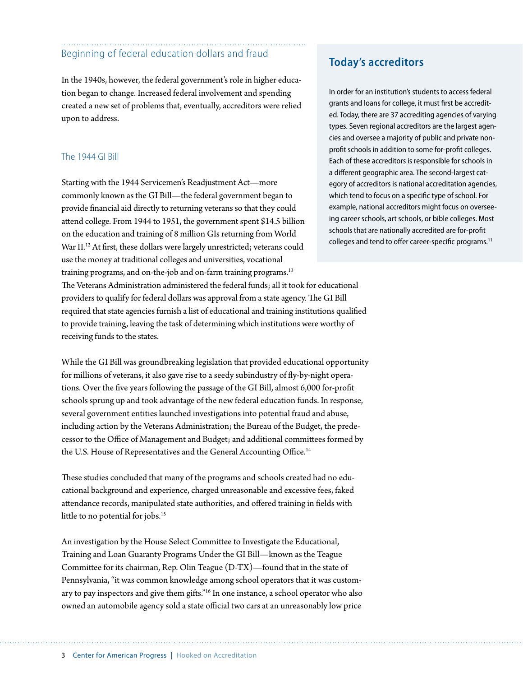## Beginning of federal education dollars and fraud

In the 1940s, however, the federal government's role in higher education began to change. Increased federal involvement and spending created a new set of problems that, eventually, accreditors were relied upon to address.

#### The 1944 GI Bill

Starting with the 1944 Servicemen's Readjustment Act—more commonly known as the GI Bill—the federal government began to provide financial aid directly to returning veterans so that they could attend college. From 1944 to 1951, the government spent \$14.5 billion on the education and training of 8 million GIs returning from World War II.<sup>12</sup> At first, these dollars were largely unrestricted; veterans could use the money at traditional colleges and universities, vocational training programs, and on-the-job and on-farm training programs.<sup>13</sup>

The Veterans Administration administered the federal funds; all it took for educational providers to qualify for federal dollars was approval from a state agency. The GI Bill required that state agencies furnish a list of educational and training institutions qualified to provide training, leaving the task of determining which institutions were worthy of receiving funds to the states.

While the GI Bill was groundbreaking legislation that provided educational opportunity for millions of veterans, it also gave rise to a seedy subindustry of fly-by-night operations. Over the five years following the passage of the GI Bill, almost 6,000 for-profit schools sprung up and took advantage of the new federal education funds. In response, several government entities launched investigations into potential fraud and abuse, including action by the Veterans Administration; the Bureau of the Budget, the predecessor to the Office of Management and Budget; and additional committees formed by the U.S. House of Representatives and the General Accounting Office.<sup>14</sup>

These studies concluded that many of the programs and schools created had no educational background and experience, charged unreasonable and excessive fees, faked attendance records, manipulated state authorities, and offered training in fields with little to no potential for jobs.<sup>15</sup>

An investigation by the House Select Committee to Investigate the Educational, Training and Loan Guaranty Programs Under the GI Bill—known as the Teague Committee for its chairman, Rep. Olin Teague (D-TX)—found that in the state of Pennsylvania, "it was common knowledge among school operators that it was customary to pay inspectors and give them gifts."16 In one instance, a school operator who also owned an automobile agency sold a state official two cars at an unreasonably low price

### **Today's accreditors**

In order for an institution's students to access federal grants and loans for college, it must first be accredited. Today, there are 37 accrediting agencies of varying types. Seven regional accreditors are the largest agencies and oversee a majority of public and private nonprofit schools in addition to some for-profit colleges. Each of these accreditors is responsible for schools in a different geographic area. The second-largest category of accreditors is national accreditation agencies, which tend to focus on a specific type of school. For example, national accreditors might focus on overseeing career schools, art schools, or bible colleges. Most schools that are nationally accredited are for-profit colleges and tend to offer career-specific programs.<sup>11</sup>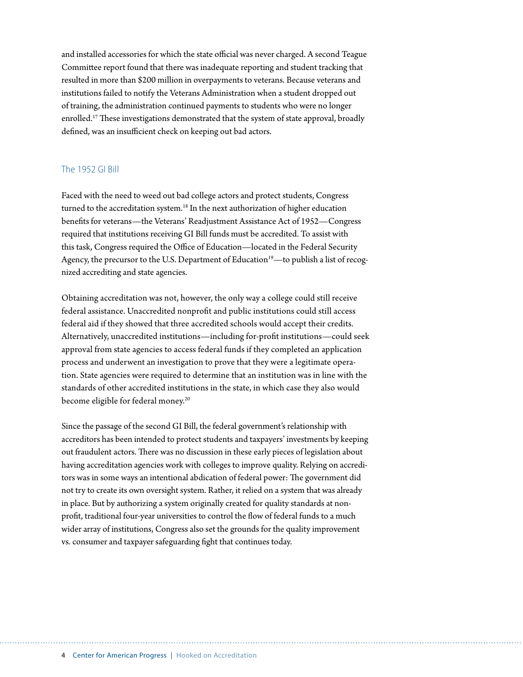and installed accessories for which the state official was never charged. A second Teague Committee report found that there was inadequate reporting and student tracking that resulted in more than \$200 million in overpayments to veterans. Because veterans and institutions failed to notify the Veterans Administration when a student dropped out of training, the administration continued payments to students who were no longer enrolled.<sup>17</sup> These investigations demonstrated that the system of state approval, broadly defined, was an insufficient check on keeping out bad actors.

#### The 1952 GI Bill

Faced with the need to weed out bad college actors and protect students, Congress turned to the accreditation system.<sup>18</sup> In the next authorization of higher education benefits for veterans—the Veterans' Readjustment Assistance Act of 1952—Congress required that institutions receiving GI Bill funds must be accredited. To assist with this task, Congress required the Office of Education—located in the Federal Security Agency, the precursor to the U.S. Department of Education<sup>19</sup>—to publish a list of recognized accrediting and state agencies.

Obtaining accreditation was not, however, the only way a college could still receive federal assistance. Unaccredited nonprofit and public institutions could still access federal aid if they showed that three accredited schools would accept their credits. Alternatively, unaccredited institutions—including for-profit institutions—could seek approval from state agencies to access federal funds if they completed an application process and underwent an investigation to prove that they were a legitimate operation. State agencies were required to determine that an institution was in line with the standards of other accredited institutions in the state, in which case they also would become eligible for federal money.<sup>20</sup>

Since the passage of the second GI Bill, the federal government's relationship with accreditors has been intended to protect students and taxpayers' investments by keeping out fraudulent actors. There was no discussion in these early pieces of legislation about having accreditation agencies work with colleges to improve quality. Relying on accreditors was in some ways an intentional abdication of federal power: The government did not try to create its own oversight system. Rather, it relied on a system that was already in place. But by authorizing a system originally created for quality standards at nonprofit, traditional four-year universities to control the flow of federal funds to a much wider array of institutions, Congress also set the grounds for the quality improvement vs. consumer and taxpayer safeguarding fight that continues today.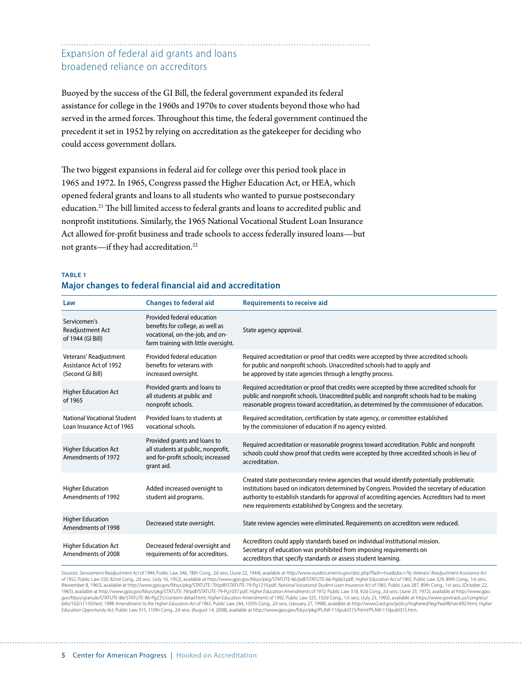## Expansion of federal aid grants and loans broadened reliance on accreditors

Buoyed by the success of the GI Bill, the federal government expanded its federal assistance for college in the 1960s and 1970s to cover students beyond those who had served in the armed forces. Throughout this time, the federal government continued the precedent it set in 1952 by relying on accreditation as the gatekeeper for deciding who could access government dollars.

The two biggest expansions in federal aid for college over this period took place in 1965 and 1972. In 1965, Congress passed the Higher Education Act, or HEA, which opened federal grants and loans to all students who wanted to pursue postsecondary education.21 The bill limited access to federal grants and loans to accredited public and nonprofit institutions. Similarly, the 1965 National Vocational Student Loan Insurance Act allowed for-profit business and trade schools to access federally insured loans—but not grants—if they had accreditation.<sup>22</sup>

| Law                                                                  | <b>Changes to federal aid</b>                                                                                                             | <b>Requirements to receive aid</b>                                                                                                                                                                                                                                                                                                                       |
|----------------------------------------------------------------------|-------------------------------------------------------------------------------------------------------------------------------------------|----------------------------------------------------------------------------------------------------------------------------------------------------------------------------------------------------------------------------------------------------------------------------------------------------------------------------------------------------------|
| Servicemen's<br>Readjustment Act<br>of 1944 (GI Bill)                | Provided federal education<br>benefits for college, as well as<br>vocational, on-the-job, and on-<br>farm training with little oversight. | State agency approval.                                                                                                                                                                                                                                                                                                                                   |
| Veterans' Readjustment<br>Assistance Act of 1952<br>(Second GI Bill) | Provided federal education<br>benefits for veterans with<br>increased oversight.                                                          | Required accreditation or proof that credits were accepted by three accredited schools<br>for public and nonprofit schools. Unaccredited schools had to apply and<br>be approved by state agencies through a lengthy process.                                                                                                                            |
| <b>Higher Education Act</b><br>of 1965                               | Provided grants and loans to<br>all students at public and<br>nonprofit schools.                                                          | Required accreditation or proof that credits were accepted by three accredited schools for<br>public and nonprofit schools. Unaccredited public and nonprofit schools had to be making<br>reasonable progress toward accreditation, as determined by the commissioner of education.                                                                      |
| <b>National Vocational Student</b><br>Loan Insurance Act of 1965     | Provided loans to students at<br>vocational schools.                                                                                      | Required accreditation, certification by state agency, or committee established<br>by the commissioner of education if no agency existed.                                                                                                                                                                                                                |
| <b>Higher Education Act</b><br>Amendments of 1972                    | Provided grants and loans to<br>all students at public, nonprofit,<br>and for-profit schools; increased<br>grant aid.                     | Required accreditation or reasonable progress toward accreditation. Public and nonprofit<br>schools could show proof that credits were accepted by three accredited schools in lieu of<br>accreditation.                                                                                                                                                 |
| <b>Higher Education</b><br>Amendments of 1992                        | Added increased oversight to<br>student aid programs.                                                                                     | Created state postsecondary review agencies that would identify potentially problematic<br>institutions based on indicators determined by Congress. Provided the secretary of education<br>authority to establish standards for approval of accrediting agencies. Accreditors had to meet<br>new requirements established by Congress and the secretary. |
| <b>Higher Education</b><br>Amendments of 1998                        | Decreased state oversight.                                                                                                                | State review agencies were eliminated. Requirements on accreditors were reduced.                                                                                                                                                                                                                                                                         |
| <b>Higher Education Act</b><br>Amendments of 2008                    | Decreased federal oversight and<br>requirements of for accreditors.                                                                       | Accreditors could apply standards based on individual institutional mission.<br>Secretary of education was prohibited from imposing requirements on<br>accreditors that specify standards or assess student learning.                                                                                                                                    |

#### **TABLE 1 Major changes to federal financial aid and accreditation**

Sources: *Servicemen's Readjustment Act of 1944*, Public Law 346, 78th Cong., 2d sess. (June 22, 1944), available at http://www.ourdocuments.gov/doc.php?flash=true&doc=76; *Veterans' Readjustment Assistance Act*  of 1952, Public Law 550, 82nd Cong., 2d sess. (July 16, 1952), available at http://www.gpo.gov/fdsys/pkg/STATUTE-66/pdf/STATUTE-66-Pg663,pdf; Higher Education Act of 1965, Public Law 329, 89th Cong., 1st sess.<br>(November 8, gov/fdsys/granule/STATUTE-86/STATUTE-86-Pg235/content-detail.html; *Higher Education Amendments of 1992*, Public Law 325, 102d Cong., 1st sess. (July 23, 1992), available at https://www.govtrack.us/congress/ bills/102/s1150/text; 1998 Amendments to the Higher Education Act of 1965, Public Law 244, 105th Cong., 2d sess. (January 27, 1998), available at http://www.2.ed.gov/policy/highered/leg/hea98/sec492.html; Higher<br>Education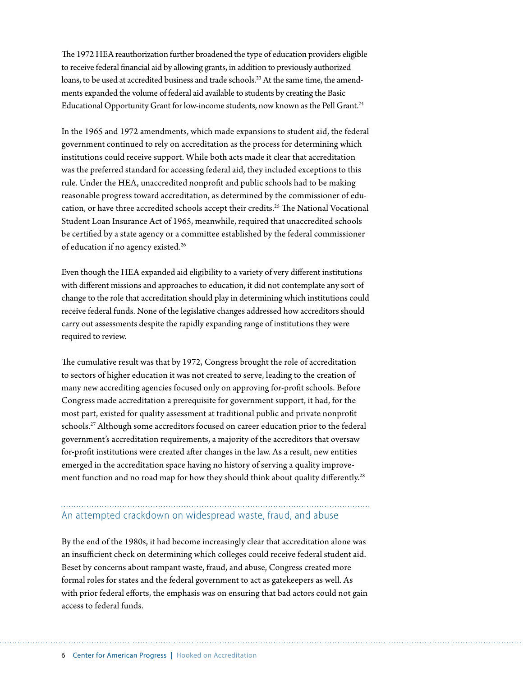The 1972 HEA reauthorization further broadened the type of education providers eligible to receive federal financial aid by allowing grants, in addition to previously authorized loans, to be used at accredited business and trade schools.<sup>23</sup> At the same time, the amendments expanded the volume of federal aid available to students by creating the Basic Educational Opportunity Grant for low-income students, now known as the Pell Grant.<sup>24</sup>

In the 1965 and 1972 amendments, which made expansions to student aid, the federal government continued to rely on accreditation as the process for determining which institutions could receive support. While both acts made it clear that accreditation was the preferred standard for accessing federal aid, they included exceptions to this rule. Under the HEA, unaccredited nonprofit and public schools had to be making reasonable progress toward accreditation, as determined by the commissioner of education, or have three accredited schools accept their credits.25 The National Vocational Student Loan Insurance Act of 1965, meanwhile, required that unaccredited schools be certified by a state agency or a committee established by the federal commissioner of education if no agency existed.<sup>26</sup>

Even though the HEA expanded aid eligibility to a variety of very different institutions with different missions and approaches to education, it did not contemplate any sort of change to the role that accreditation should play in determining which institutions could receive federal funds. None of the legislative changes addressed how accreditors should carry out assessments despite the rapidly expanding range of institutions they were required to review.

The cumulative result was that by 1972, Congress brought the role of accreditation to sectors of higher education it was not created to serve, leading to the creation of many new accrediting agencies focused only on approving for-profit schools. Before Congress made accreditation a prerequisite for government support, it had, for the most part, existed for quality assessment at traditional public and private nonprofit schools.27 Although some accreditors focused on career education prior to the federal government's accreditation requirements, a majority of the accreditors that oversaw for-profit institutions were created after changes in the law. As a result, new entities emerged in the accreditation space having no history of serving a quality improvement function and no road map for how they should think about quality differently.<sup>28</sup>

## An attempted crackdown on widespread waste, fraud, and abuse

By the end of the 1980s, it had become increasingly clear that accreditation alone was an insufficient check on determining which colleges could receive federal student aid. Beset by concerns about rampant waste, fraud, and abuse, Congress created more formal roles for states and the federal government to act as gatekeepers as well. As with prior federal efforts, the emphasis was on ensuring that bad actors could not gain access to federal funds.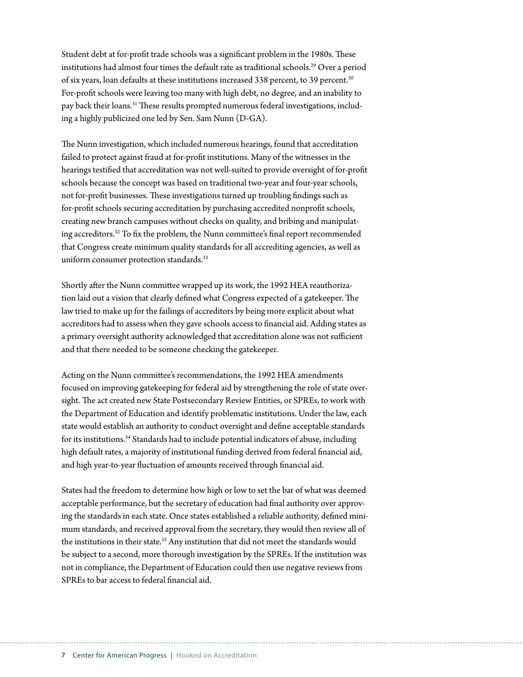Student debt at for-profit trade schools was a significant problem in the 1980s. These institutions had almost four times the default rate as traditional schools.<sup>29</sup> Over a period of six years, loan defaults at these institutions increased 338 percent, to 39 percent.30 For-profit schools were leaving too many with high debt, no degree, and an inability to pay back their loans.<sup>31</sup> These results prompted numerous federal investigations, including a highly publicized one led by Sen. Sam Nunn (D-GA).

The Nunn investigation, which included numerous hearings, found that accreditation failed to protect against fraud at for-profit institutions. Many of the witnesses in the hearings testified that accreditation was not well-suited to provide oversight of for-profit schools because the concept was based on traditional two-year and four-year schools, not for-profit businesses. These investigations turned up troubling findings such as for-profit schools securing accreditation by purchasing accredited nonprofit schools, creating new branch campuses without checks on quality, and bribing and manipulating accreditors.32 To fix the problem, the Nunn committee's final report recommended that Congress create minimum quality standards for all accrediting agencies, as well as uniform consumer protection standards.<sup>33</sup>

Shortly after the Nunn committee wrapped up its work, the 1992 HEA reauthorization laid out a vision that clearly defined what Congress expected of a gatekeeper. The law tried to make up for the failings of accreditors by being more explicit about what accreditors had to assess when they gave schools access to financial aid. Adding states as a primary oversight authority acknowledged that accreditation alone was not sufficient and that there needed to be someone checking the gatekeeper.

Acting on the Nunn committee's recommendations, the 1992 HEA amendments focused on improving gatekeeping for federal aid by strengthening the role of state oversight. The act created new State Postsecondary Review Entities, or SPREs, to work with the Department of Education and identify problematic institutions. Under the law, each state would establish an authority to conduct oversight and define acceptable standards for its institutions.<sup>34</sup> Standards had to include potential indicators of abuse, including high default rates, a majority of institutional funding derived from federal financial aid, and high year-to-year fluctuation of amounts received through financial aid.

States had the freedom to determine how high or low to set the bar of what was deemed acceptable performance, but the secretary of education had final authority over approving the standards in each state. Once states established a reliable authority, defined minimum standards, and received approval from the secretary, they would then review all of the institutions in their state.<sup>35</sup> Any institution that did not meet the standards would be subject to a second, more thorough investigation by the SPREs. If the institution was not in compliance, the Department of Education could then use negative reviews from SPREs to bar access to federal financial aid.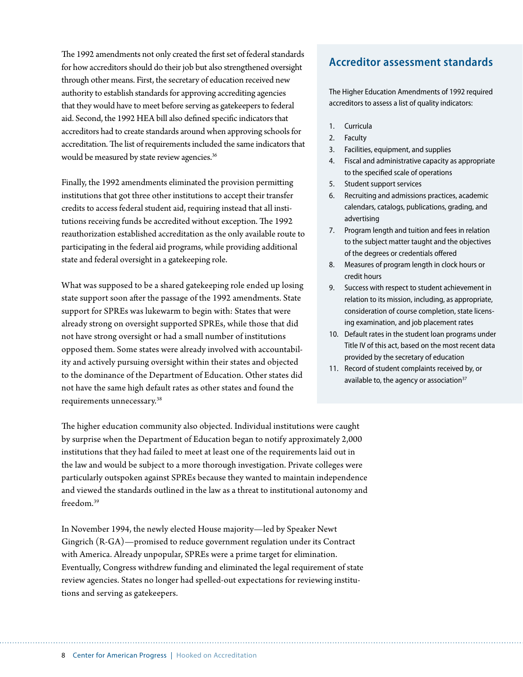The 1992 amendments not only created the first set of federal standards for how accreditors should do their job but also strengthened oversight through other means. First, the secretary of education received new authority to establish standards for approving accrediting agencies that they would have to meet before serving as gatekeepers to federal aid. Second, the 1992 HEA bill also defined specific indicators that accreditors had to create standards around when approving schools for accreditation. The list of requirements included the same indicators that would be measured by state review agencies.<sup>36</sup>

Finally, the 1992 amendments eliminated the provision permitting institutions that got three other institutions to accept their transfer credits to access federal student aid, requiring instead that all institutions receiving funds be accredited without exception. The 1992 reauthorization established accreditation as the only available route to participating in the federal aid programs, while providing additional state and federal oversight in a gatekeeping role.

What was supposed to be a shared gatekeeping role ended up losing state support soon after the passage of the 1992 amendments. State support for SPREs was lukewarm to begin with: States that were already strong on oversight supported SPREs, while those that did not have strong oversight or had a small number of institutions opposed them. Some states were already involved with accountability and actively pursuing oversight within their states and objected to the dominance of the Department of Education. Other states did not have the same high default rates as other states and found the requirements unnecessary.38

The higher education community also objected. Individual institutions were caught by surprise when the Department of Education began to notify approximately 2,000 institutions that they had failed to meet at least one of the requirements laid out in the law and would be subject to a more thorough investigation. Private colleges were particularly outspoken against SPREs because they wanted to maintain independence and viewed the standards outlined in the law as a threat to institutional autonomy and freedom.39

In November 1994, the newly elected House majority—led by Speaker Newt Gingrich (R-GA)—promised to reduce government regulation under its Contract with America. Already unpopular, SPREs were a prime target for elimination. Eventually, Congress withdrew funding and eliminated the legal requirement of state review agencies. States no longer had spelled-out expectations for reviewing institutions and serving as gatekeepers.

## **Accreditor assessment standards**

The Higher Education Amendments of 1992 required accreditors to assess a list of quality indicators:

- 1. Curricula
- 2. Faculty
- 3. Facilities, equipment, and supplies
- 4. Fiscal and administrative capacity as appropriate to the specified scale of operations
- 5. Student support services
- 6. Recruiting and admissions practices, academic calendars, catalogs, publications, grading, and advertising
- 7. Program length and tuition and fees in relation to the subject matter taught and the objectives of the degrees or credentials offered
- 8. Measures of program length in clock hours or credit hours
- 9. Success with respect to student achievement in relation to its mission, including, as appropriate, consideration of course completion, state licensing examination, and job placement rates
- 10. Default rates in the student loan programs under Title IV of this act, based on the most recent data provided by the secretary of education
- 11. Record of student complaints received by, or available to, the agency or association $37$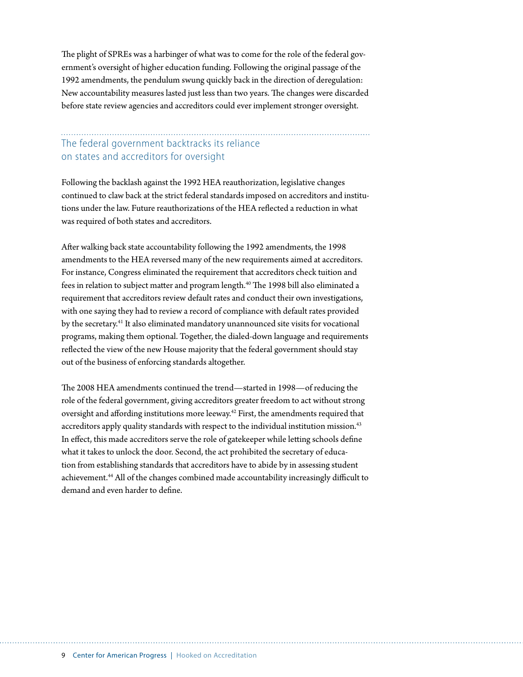The plight of SPREs was a harbinger of what was to come for the role of the federal government's oversight of higher education funding. Following the original passage of the 1992 amendments, the pendulum swung quickly back in the direction of deregulation: New accountability measures lasted just less than two years. The changes were discarded before state review agencies and accreditors could ever implement stronger oversight.

## The federal government backtracks its reliance on states and accreditors for oversight

Following the backlash against the 1992 HEA reauthorization, legislative changes continued to claw back at the strict federal standards imposed on accreditors and institutions under the law. Future reauthorizations of the HEA reflected a reduction in what was required of both states and accreditors.

After walking back state accountability following the 1992 amendments, the 1998 amendments to the HEA reversed many of the new requirements aimed at accreditors. For instance, Congress eliminated the requirement that accreditors check tuition and fees in relation to subject matter and program length.<sup>40</sup> The 1998 bill also eliminated a requirement that accreditors review default rates and conduct their own investigations, with one saying they had to review a record of compliance with default rates provided by the secretary.41 It also eliminated mandatory unannounced site visits for vocational programs, making them optional. Together, the dialed-down language and requirements reflected the view of the new House majority that the federal government should stay out of the business of enforcing standards altogether.

The 2008 HEA amendments continued the trend—started in 1998—of reducing the role of the federal government, giving accreditors greater freedom to act without strong oversight and affording institutions more leeway.42 First, the amendments required that accreditors apply quality standards with respect to the individual institution mission.<sup>43</sup> In effect, this made accreditors serve the role of gatekeeper while letting schools define what it takes to unlock the door. Second, the act prohibited the secretary of education from establishing standards that accreditors have to abide by in assessing student achievement.44 All of the changes combined made accountability increasingly difficult to demand and even harder to define.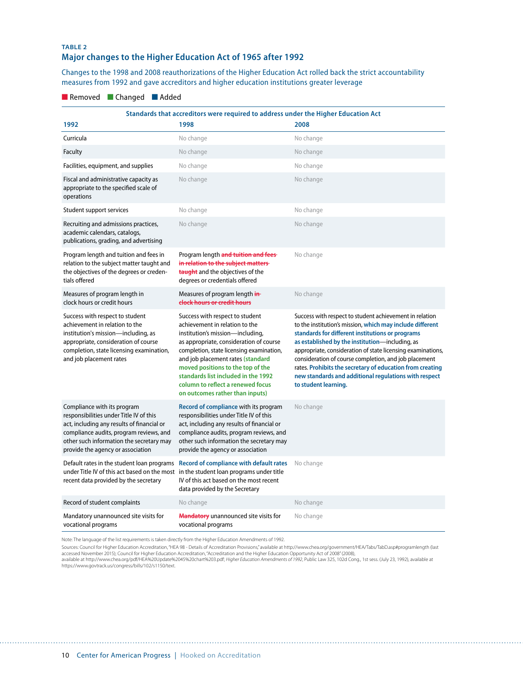#### **TABLE 2 Major changes to the Higher Education Act of 1965 after 1992**

Changes to the 1998 and 2008 reauthorizations of the Higher Education Act rolled back the strict accountability measures from 1992 and gave accreditors and higher education institutions greater leverage

#### ■ Removed ■ Changed ■ Added

| Standards that accreditors were required to address under the Higher Education Act                                                                                                                                                               |                                                                                                                                                                                                                                                                                                                                                                                       |                                                                                                                                                                                                                                                                                                                                                                                                                                                                                                   |  |
|--------------------------------------------------------------------------------------------------------------------------------------------------------------------------------------------------------------------------------------------------|---------------------------------------------------------------------------------------------------------------------------------------------------------------------------------------------------------------------------------------------------------------------------------------------------------------------------------------------------------------------------------------|---------------------------------------------------------------------------------------------------------------------------------------------------------------------------------------------------------------------------------------------------------------------------------------------------------------------------------------------------------------------------------------------------------------------------------------------------------------------------------------------------|--|
| 1992                                                                                                                                                                                                                                             | 1998                                                                                                                                                                                                                                                                                                                                                                                  | 2008                                                                                                                                                                                                                                                                                                                                                                                                                                                                                              |  |
| Curricula                                                                                                                                                                                                                                        | No change                                                                                                                                                                                                                                                                                                                                                                             | No change                                                                                                                                                                                                                                                                                                                                                                                                                                                                                         |  |
| Faculty                                                                                                                                                                                                                                          | No change                                                                                                                                                                                                                                                                                                                                                                             | No change                                                                                                                                                                                                                                                                                                                                                                                                                                                                                         |  |
| Facilities, equipment, and supplies                                                                                                                                                                                                              | No change                                                                                                                                                                                                                                                                                                                                                                             | No change                                                                                                                                                                                                                                                                                                                                                                                                                                                                                         |  |
| Fiscal and administrative capacity as<br>appropriate to the specified scale of<br>operations                                                                                                                                                     | No change                                                                                                                                                                                                                                                                                                                                                                             | No change                                                                                                                                                                                                                                                                                                                                                                                                                                                                                         |  |
| Student support services                                                                                                                                                                                                                         | No change                                                                                                                                                                                                                                                                                                                                                                             | No change                                                                                                                                                                                                                                                                                                                                                                                                                                                                                         |  |
| Recruiting and admissions practices,<br>academic calendars, catalogs,<br>publications, grading, and advertising                                                                                                                                  | No change                                                                                                                                                                                                                                                                                                                                                                             | No change                                                                                                                                                                                                                                                                                                                                                                                                                                                                                         |  |
| Program length and tuition and fees in<br>relation to the subject matter taught and<br>the objectives of the degrees or creden-<br>tials offered                                                                                                 | Program length and tuition and fees-<br>in relation to the subject matters-<br>taught and the objectives of the<br>degrees or credentials offered                                                                                                                                                                                                                                     | No change                                                                                                                                                                                                                                                                                                                                                                                                                                                                                         |  |
| Measures of program length in<br>clock hours or credit hours                                                                                                                                                                                     | Measures of program length in-<br>clock hours or credit hours                                                                                                                                                                                                                                                                                                                         | No change                                                                                                                                                                                                                                                                                                                                                                                                                                                                                         |  |
| Success with respect to student<br>achievement in relation to the<br>institution's mission-including, as<br>appropriate, consideration of course<br>completion, state licensing examination,<br>and job placement rates                          | Success with respect to student<br>achievement in relation to the<br>institution's mission-including,<br>as appropriate, consideration of course<br>completion, state licensing examination,<br>and job placement rates (standard<br>moved positions to the top of the<br>standards list included in the 1992<br>column to reflect a renewed focus<br>on outcomes rather than inputs) | Success with respect to student achievement in relation<br>to the institution's mission, which may include different<br>standards for different institutions or programs<br>as established by the institution-including, as<br>appropriate, consideration of state licensing examinations,<br>consideration of course completion, and job placement<br>rates. Prohibits the secretary of education from creating<br>new standards and additional regulations with respect<br>to student learning. |  |
| Compliance with its program<br>responsibilities under Title IV of this<br>act, including any results of financial or<br>compliance audits, program reviews, and<br>other such information the secretary may<br>provide the agency or association | Record of compliance with its program<br>responsibilities under Title IV of this<br>act, including any results of financial or<br>compliance audits, program reviews, and<br>other such information the secretary may<br>provide the agency or association                                                                                                                            | No change                                                                                                                                                                                                                                                                                                                                                                                                                                                                                         |  |
| Default rates in the student loan programs<br>under Title IV of this act based on the most<br>recent data provided by the secretary                                                                                                              | <b>Record of compliance with default rates</b><br>in the student loan programs under title<br>IV of this act based on the most recent<br>data provided by the Secretary                                                                                                                                                                                                               | No change                                                                                                                                                                                                                                                                                                                                                                                                                                                                                         |  |
| Record of student complaints                                                                                                                                                                                                                     | No change                                                                                                                                                                                                                                                                                                                                                                             | No change                                                                                                                                                                                                                                                                                                                                                                                                                                                                                         |  |
| Mandatory unannounced site visits for<br>vocational programs                                                                                                                                                                                     | <b>Mandatory</b> unannounced site visits for<br>vocational programs                                                                                                                                                                                                                                                                                                                   | No change                                                                                                                                                                                                                                                                                                                                                                                                                                                                                         |  |

Note: The language of the list requirements is taken directly from the Higher Education Amendments of 1992.

Sources: Council for Higher Education Accreditation, "HEA 98 - Details of Accreditation Provisions," available at http://www.chea.org/government/HEA/Tabs/TabD.asp#programlength (last<br>accessed November 2015); Council for Hi

available at http://www.chea.org/pdf/HEA%20Update%2045%20chart%203.pdf; *Higher Education Amendments of 1992*, Public Law 325, 102d Cong., 1st sess. (July 23, 1992), available at https://www.govtrack.us/congress/bills/102/s1150/text.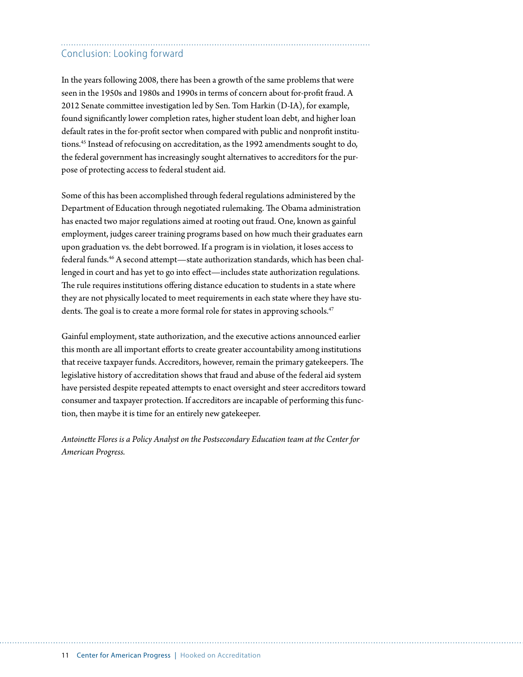## Conclusion: Looking forward

In the years following 2008, there has been a growth of the same problems that were seen in the 1950s and 1980s and 1990s in terms of concern about for-profit fraud. A 2012 Senate committee investigation led by Sen. Tom Harkin (D-IA), for example, found significantly lower completion rates, higher student loan debt, and higher loan default rates in the for-profit sector when compared with public and nonprofit institutions.45 Instead of refocusing on accreditation, as the 1992 amendments sought to do, the federal government has increasingly sought alternatives to accreditors for the purpose of protecting access to federal student aid.

Some of this has been accomplished through federal regulations administered by the Department of Education through negotiated rulemaking. The Obama administration has enacted two major regulations aimed at rooting out fraud. One, known as gainful employment, judges career training programs based on how much their graduates earn upon graduation vs. the debt borrowed. If a program is in violation, it loses access to federal funds.46 A second attempt—state authorization standards, which has been challenged in court and has yet to go into effect—includes state authorization regulations. The rule requires institutions offering distance education to students in a state where they are not physically located to meet requirements in each state where they have students. The goal is to create a more formal role for states in approving schools.<sup>47</sup>

Gainful employment, state authorization, and the executive actions announced earlier this month are all important efforts to create greater accountability among institutions that receive taxpayer funds. Accreditors, however, remain the primary gatekeepers. The legislative history of accreditation shows that fraud and abuse of the federal aid system have persisted despite repeated attempts to enact oversight and steer accreditors toward consumer and taxpayer protection. If accreditors are incapable of performing this function, then maybe it is time for an entirely new gatekeeper.

*Antoinette Flores is a Policy Analyst on the Postsecondary Education team at the Center for American Progress.*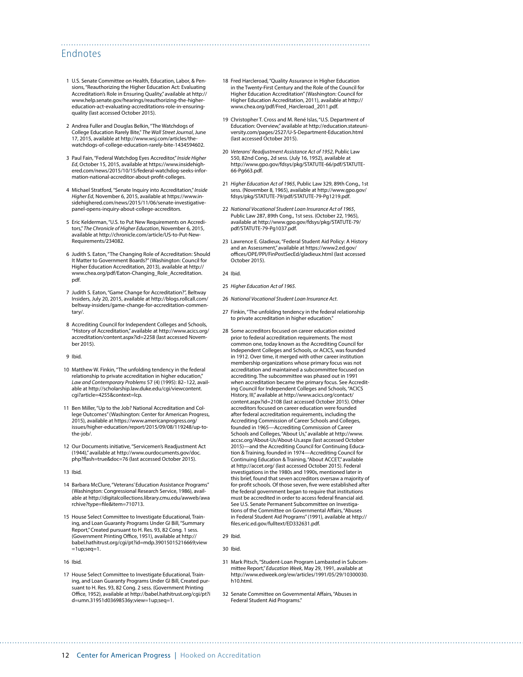#### Endnotes

- 1 U.S. Senate Committee on Health, Education, Labor, & Pensions, "Reauthorizing the Higher Education Act: Evaluating Accreditation's Role in Ensuring Quality," available at [http://](http://www.help.senate.gov/hearings/reauthorizing-the-higher-education-act-evaluating-accreditations-role-in-ensuring-quality) [www.help.senate.gov/hearings/reauthorizing-the-higher](http://www.help.senate.gov/hearings/reauthorizing-the-higher-education-act-evaluating-accreditations-role-in-ensuring-quality)[education-act-evaluating-accreditations-role-in-ensuring](http://www.help.senate.gov/hearings/reauthorizing-the-higher-education-act-evaluating-accreditations-role-in-ensuring-quality)[quality](http://www.help.senate.gov/hearings/reauthorizing-the-higher-education-act-evaluating-accreditations-role-in-ensuring-quality) (last accessed October 2015).
- 2 Andrea Fuller and Douglas Belkin, "The Watchdogs of College Education Rarely Bite," *The Wall Street Journal*,June 17, 2015, available at [http://www.wsj.com/articles/the](http://www.wsj.com/articles/the-watchdogs-of-college-education-rarely-bite-1434594602)[watchdogs-of-college-education-rarely-bite-1434594602](http://www.wsj.com/articles/the-watchdogs-of-college-education-rarely-bite-1434594602).
- 3 Paul Fain, "Federal Watchdog Eyes Accreditor," *Inside Higher Ed*, October 15, 2015, available at [https://www.insidehigh](https://www.insidehighered.com/news/2015/10/15/federal-watchdog-seeks-information-national-accreditor-about-profit-colleges)[ered.com/news/2015/10/15/federal-watchdog-seeks-infor](https://www.insidehighered.com/news/2015/10/15/federal-watchdog-seeks-information-national-accreditor-about-profit-colleges)[mation-national-accreditor-about-profit-colleges](https://www.insidehighered.com/news/2015/10/15/federal-watchdog-seeks-information-national-accreditor-about-profit-colleges).
- 4 Michael Stratford, "Senate Inquiry into Accreditation," *Inside Higher Ed*, November 6, 2015, available at [https://www.in](https://www.insidehighered.com/news/2015/11/06/senate-investigative-panel-opens-inquiry-about-college-accreditors)[sidehighered.com/news/2015/11/06/senate-investigative](https://www.insidehighered.com/news/2015/11/06/senate-investigative-panel-opens-inquiry-about-college-accreditors)[panel-opens-inquiry-about-college-accreditors](https://www.insidehighered.com/news/2015/11/06/senate-investigative-panel-opens-inquiry-about-college-accreditors).
- 5 Eric Kelderman, "U.S. to Put New Requirements on Accreditors," *The Chronicle of Higher Education*, November 6, 2015, available at [http://chronicle.com/article/US-to-Put-New-](http://chronicle.com/article/US-to-Put-New-Requirements/234082)[Requirements/234082](http://chronicle.com/article/US-to-Put-New-Requirements/234082).
- 6 Judith S. Eaton, "The Changing Role of Accreditation: Should It Matter to Government Boards?" (Washington: Council for Higher Education Accreditation, 2013), available at [http://](http://www.chea.org/pdf/Eaton-Changing_Role_Accreditation.pdf) [www.chea.org/pdf/Eaton-Changing\\_Role\\_Accreditation.](http://www.chea.org/pdf/Eaton-Changing_Role_Accreditation.pdf) [pdf](http://www.chea.org/pdf/Eaton-Changing_Role_Accreditation.pdf).
- 7 Judith S. Eaton, "Game Change for Accreditation?", Beltway Insiders, July 20, 2015, available at [http://blogs.rollcall.com/](http://blogs.rollcall.com/beltway-insiders/game-change-for-accreditation-commentary/) [beltway-insiders/game-change-for-accreditation-commen](http://blogs.rollcall.com/beltway-insiders/game-change-for-accreditation-commentary/)[tary/.](http://blogs.rollcall.com/beltway-insiders/game-change-for-accreditation-commentary/)
- 8 Accrediting Council for Independent Colleges and Schools, "History of Accreditation," available at [http://www.acics.org/](http://www.acics.org/accreditation/content.aspx?id=2258) [accreditation/content.aspx?id=2258](http://www.acics.org/accreditation/content.aspx?id=2258) (last accessed November 2015).
- 9 Ibid.
- 10 Matthew W. Finkin, "The unfolding tendency in the federal relationship to private accreditation in higher education," *Law and Contemporary Problems* 57 (4) (1995): 82–122, available at [http://scholarship.law.duke.edu/cgi/viewcontent.](http://scholarship.law.duke.edu/cgi/viewcontent.cgi?article=4255&context=lcp) [cgi?article=4255&context=lcp](http://scholarship.law.duke.edu/cgi/viewcontent.cgi?article=4255&context=lcp).
- 11 Ben Miller, "Up to the Job? National Accreditation and College Outcomes" (Washington: Center for American Progress, 2015), available at [https://www.americanprogress.org/](https://www.americanprogress.org/issues/higher-education/report/2015/09/08/119248/up-to-the-job/) [issues/higher-education/report/2015/09/08/119248/up-to](https://www.americanprogress.org/issues/higher-education/report/2015/09/08/119248/up-to-the-job/)[the-job/](https://www.americanprogress.org/issues/higher-education/report/2015/09/08/119248/up-to-the-job/).
- 12 Our Documents initiative, "Servicemen's Readjustment Act (1944)," available at [http://www.ourdocuments.gov/doc.](http://www.ourdocuments.gov/doc.php?flash=true&doc=76) [php?flash=true&doc=76](http://www.ourdocuments.gov/doc.php?flash=true&doc=76) (last accessed October 2015).
- 13 Ibid.
- 14 Barbara McClure, "Veterans' Education Assistance Programs" (Washington: Congressional Research Service, 1986), available at [http://digitalcollections.library.cmu.edu/awweb/awa](http://digitalcollections.library.cmu.edu/awweb/awarchive?type=file&item=710713) [rchive?type=file&item=710713](http://digitalcollections.library.cmu.edu/awweb/awarchive?type=file&item=710713).
- 15 House Select Committee to Investigate Educational, Training, and Loan Guaranty Programs Under GI Bill, "Summary Report," Created pursuant to H. Res. 93, 82 Cong. 1 sess. (Government Printing Office, 1951), available at [http://](http://babel.hathitrust.org/cgi/pt?id=mdp.39015015216669;view=1up;seq=1) [babel.hathitrust.org/cgi/pt?id=mdp.39015015216669;view](http://babel.hathitrust.org/cgi/pt?id=mdp.39015015216669;view=1up;seq=1)  $=1$ up;seq $=1$ .
- 16 Ibid.
- 17 House Select Committee to Investigate Educational, Training, and Loan Guaranty Programs Under GI Bill, Created pursuant to H. Res. 93, 82 Cong. 2 sess. (Government Printing Office, 1952), available at [http://babel.hathitrust.org/cgi/pt?i](http://babel.hathitrust.org/cgi/pt?id=umn.31951d03698536y;view=1up;seq=1) [d=umn.31951d03698536y;view=1up;seq=1](http://babel.hathitrust.org/cgi/pt?id=umn.31951d03698536y;view=1up;seq=1).
- 18 Fred Harcleroad, "Quality Assurance in Higher Education in the Twenty-First Century and the Role of the Council for Higher Education Accreditation" (Washington: Council for Higher Education Accreditation, 2011), available at [http://](http://www.chea.org/pdf/Fred_Harcleroad_2011.pdf) [www.chea.org/pdf/Fred\\_Harcleroad\\_2011.pdf.](http://www.chea.org/pdf/Fred_Harcleroad_2011.pdf)
- 19 Christopher T. Cross and M. René Islas, "U.S. Department of Education: Overview," available at [http://education.stateuni](http://education.stateuniversity.com/pages/2527/U-S-Department-Education.html)[versity.com/pages/2527/U-S-Department-Education.html](http://education.stateuniversity.com/pages/2527/U-S-Department-Education.html) (last accessed October 2015).
- 20 *Veterans' Readjustment Assistance Act of 1952*, Public Law 550, 82nd Cong., 2d sess. (July 16, 1952), available at [http://www.gpo.gov/fdsys/pkg/STATUTE-66/pdf/STATUTE-](http://www.gpo.gov/fdsys/pkg/STATUTE-66/pdf/STATUTE-66-Pg663.pdf)[66-Pg663.pdf](http://www.gpo.gov/fdsys/pkg/STATUTE-66/pdf/STATUTE-66-Pg663.pdf).
- 21 *Higher Education Act of 1965*, Public Law 329, 89th Cong., 1st sess. (November 8, 1965), available at [http://www.gpo.gov/](http://www.gpo.gov/fdsys/pkg/STATUTE-79/pdf/STATUTE-79-Pg1219.pdf) [fdsys/pkg/STATUTE-79/pdf/STATUTE-79-Pg1219.pdf](http://www.gpo.gov/fdsys/pkg/STATUTE-79/pdf/STATUTE-79-Pg1219.pdf).
- 22 *National Vocational Student Loan Insurance Act of 1965*, Public Law 287, 89th Cong., 1st sess. (October 22, 1965), available at [http://www.gpo.gov/fdsys/pkg/STATUTE-79/](http://www.gpo.gov/fdsys/pkg/STATUTE-79/pdf/STATUTE-79-Pg1037.pdf) [pdf/STATUTE-79-Pg1037.pdf](http://www.gpo.gov/fdsys/pkg/STATUTE-79/pdf/STATUTE-79-Pg1037.pdf).
- 23 Lawrence E. Gladieux, "Federal Student Aid Policy: A History and an Assessment," available at [https://www2.ed.gov/](https://www2.ed.gov/offices/OPE/PPI/FinPostSecEd/gladieux.html) [offices/OPE/PPI/FinPostSecEd/gladieux.html](https://www2.ed.gov/offices/OPE/PPI/FinPostSecEd/gladieux.html) (last accessed October 2015).
- 24 Ibid.

- 25 *Higher Education Act of 1965*.
- 26 *National Vocational Student Loan Insurance Act*.
- 27 Finkin, "The unfolding tendency in the federal relationship to private accreditation in higher education."
- 28 Some accreditors focused on career education existed prior to federal accreditation requirements. The most common one, today known as the Accrediting Council for Independent Colleges and Schools, or ACICS, was founded in 1912. Over time, it merged with other career institution membership organizations whose primary focus was not accreditation and maintained a subcommittee focused on accrediting. The subcommittee was phased out in 1991 when accreditation became the primary focus. See Accrediting Council for Independent Colleges and Schools, "ACICS History, III," available at [http://www.acics.org/contact/](http://www.acics.org/contact/content.aspx?id=2108) [content.aspx?id=2108](http://www.acics.org/contact/content.aspx?id=2108) (last accessed October 2015). Other accreditors focused on career education were founded after federal accreditation requirements, including the Accrediting Commission of Career Schools and Colleges, founded in 1965—Accrediting Commission of Career Schools and Colleges, "About Us," available at [http://www.](http://www.accsc.org/About-Us/About-Us.aspx) [accsc.org/About-Us/About-Us.aspx](http://www.accsc.org/About-Us/About-Us.aspx) (last accessed October 2015)—and the Accrediting Council for Continuing Education & Training, founded in 1974—Accrediting Council for Continuing Education & Training, "About ACCET," available at <http://accet.org/> (last accessed October 2015). Federal investigations in the 1980s and 1990s, mentioned later in this brief, found that seven accreditors oversaw a majority of for-profit schools. Of those seven, five were established after the federal government began to require that institutions must be accredited in order to access federal financial aid. See U.S. Senate Permanent Subcommittee on Investigations of the Committee on Governmental Affairs, "Abuses in Federal Student Aid Programs" (1991), available at [http://](http://files.eric.ed.gov/fulltext/ED332631.pdf) [files.eric.ed.gov/fulltext/ED332631.pdf](http://files.eric.ed.gov/fulltext/ED332631.pdf).

29 Ibid.

- 31 Mark Pitsch, "Student-Loan Program Lambasted in Subcommittee Report," *Education Week*, May 29, 1991, available at [http://www.edweek.org/ew/articles/1991/05/29/10300030.](http://www.edweek.org/ew/articles/1991/05/29/10300030.h10.html) [h10.html](http://www.edweek.org/ew/articles/1991/05/29/10300030.h10.html).
- 32 Senate Committee on Governmental Affairs, "Abuses in Federal Student Aid Programs."

<sup>30</sup> Ibid.